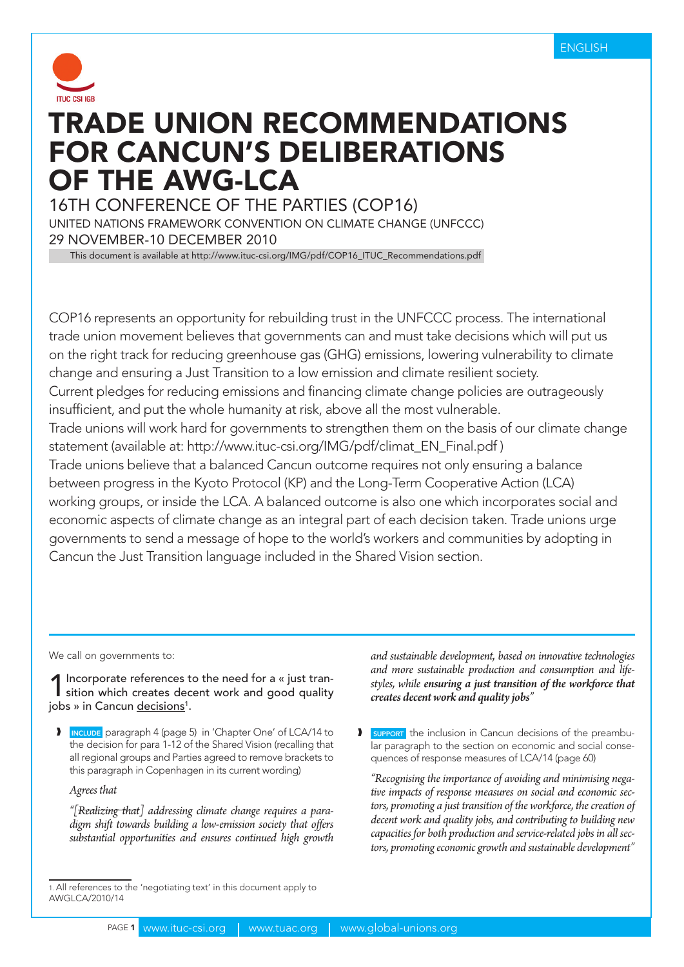

# Trade Union recommendations for Cancun's deliberations of the AWG-LCA

16th Conference of the Parties (COP16)

United Nations Framework Convention on Climate Change (UNFCCC) 29 November-10 December 2010

This document is available at http://www.ituc-csi.org/IMG/pdf/COP16\_ITUC\_Recommendations.pdf

COP16 represents an opportunity for rebuilding trust in the UNFCCC process. The international trade union movement believes that governments can and must take decisions which will put us on the right track for reducing greenhouse gas (GHG) emissions, lowering vulnerability to climate change and ensuring a Just Transition to a low emission and climate resilient society. Current pledges for reducing emissions and financing climate change policies are outrageously insufficient, and put the whole humanity at risk, above all the most vulnerable. Trade unions will work hard for governments to strengthen them on the basis of our climate change statement (available at: http://www.ituc-csi.org/IMG/pdf/climat\_EN\_Final.pdf ) Trade unions believe that a balanced Cancun outcome requires not only ensuring a balance between progress in the Kyoto Protocol (KP) and the Long-Term Cooperative Action (LCA) working groups, or inside the LCA. A balanced outcome is also one which incorporates social and economic aspects of climate change as an integral part of each decision taken. Trade unions urge governments to send a message of hope to the world's workers and communities by adopting in Cancun the Just Transition language included in the Shared Vision section.

We call on governments to:

Incorporate references to the need for a « just transition which creates decent work and good quality jobs » in Cancun <u>decisions</u>1.

I INCLUDE paragraph 4 (page 5) in 'Chapter One' of LCA/14 to the decision for para 1-12 of the Shared Vision (recalling that all regional groups and Parties agreed to remove brackets to this paragraph in Copenhagen in its current wording)

*Agrees that* 

*"[Realizing that] addressing climate change requires a paradigm shift towards building a low-emission society that offers substantial opportunities and ensures continued high growth* 

*and sustainable development, based on innovative technologies and more sustainable production and consumption and lifestyles, while ensuring a just transition of the workforce that creates decent work and quality jobs"*

**SUPPORT** the inclusion in Cancun decisions of the preambular paragraph to the section on economic and social consequences of response measures of LCA/14 (page 60)

*"Recognising the importance of avoiding and minimising negative impacts of response measures on social and economic sectors, promoting a just transition of the workforce, the creation of decent work and quality jobs, and contributing to building new capacities for both production and service-related jobs in all sectors, promoting economic growth and sustainable development"*

<sup>1.</sup> All references to the 'negotiating text' in this document apply to AWGLCA/2010/14